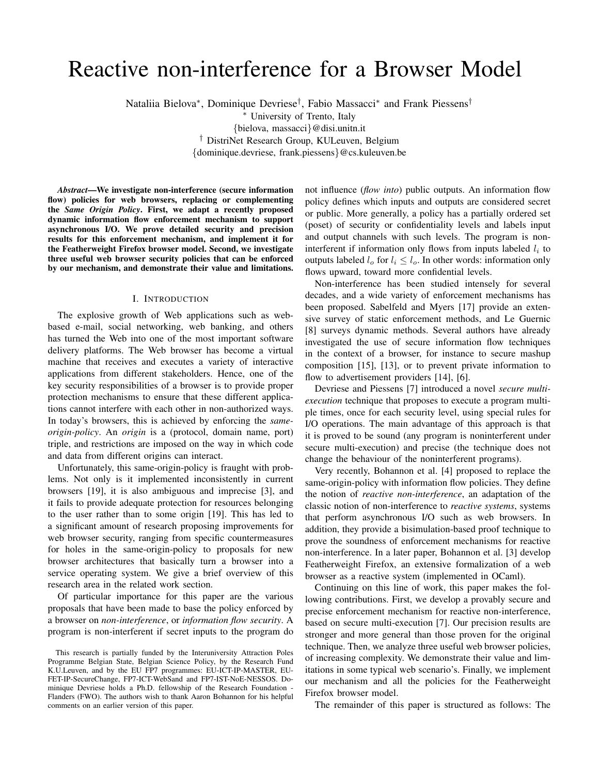# Reactive non-interference for a Browser Model

Nataliia Bielova<sup>∗</sup> , Dominique Devriese† , Fabio Massacci<sup>∗</sup> and Frank Piessens†

<sup>∗</sup> University of Trento, Italy

{bielova, massacci}@disi.unitn.it

† DistriNet Research Group, KULeuven, Belgium

{dominique.devriese, frank.piessens}@cs.kuleuven.be

*Abstract*—We investigate non-interference (secure information flow) policies for web browsers, replacing or complementing the *Same Origin Policy*. First, we adapt a recently proposed dynamic information flow enforcement mechanism to support asynchronous I/O. We prove detailed security and precision results for this enforcement mechanism, and implement it for the Featherweight Firefox browser model. Second, we investigate three useful web browser security policies that can be enforced by our mechanism, and demonstrate their value and limitations.

#### I. INTRODUCTION

The explosive growth of Web applications such as webbased e-mail, social networking, web banking, and others has turned the Web into one of the most important software delivery platforms. The Web browser has become a virtual machine that receives and executes a variety of interactive applications from different stakeholders. Hence, one of the key security responsibilities of a browser is to provide proper protection mechanisms to ensure that these different applications cannot interfere with each other in non-authorized ways. In today's browsers, this is achieved by enforcing the *sameorigin-policy*. An *origin* is a (protocol, domain name, port) triple, and restrictions are imposed on the way in which code and data from different origins can interact.

Unfortunately, this same-origin-policy is fraught with problems. Not only is it implemented inconsistently in current browsers [19], it is also ambiguous and imprecise [3], and it fails to provide adequate protection for resources belonging to the user rather than to some origin [19]. This has led to a significant amount of research proposing improvements for web browser security, ranging from specific countermeasures for holes in the same-origin-policy to proposals for new browser architectures that basically turn a browser into a service operating system. We give a brief overview of this research area in the related work section.

Of particular importance for this paper are the various proposals that have been made to base the policy enforced by a browser on *non-interference*, or *information flow security*. A program is non-interferent if secret inputs to the program do not influence (*flow into*) public outputs. An information flow policy defines which inputs and outputs are considered secret or public. More generally, a policy has a partially ordered set (poset) of security or confidentiality levels and labels input and output channels with such levels. The program is noninterferent if information only flows from inputs labeled  $l_i$  to outputs labeled  $l_0$  for  $l_i \leq l_o$ . In other words: information only flows upward, toward more confidential levels.

Non-interference has been studied intensely for several decades, and a wide variety of enforcement mechanisms has been proposed. Sabelfeld and Myers [17] provide an extensive survey of static enforcement methods, and Le Guernic [8] surveys dynamic methods. Several authors have already investigated the use of secure information flow techniques in the context of a browser, for instance to secure mashup composition [15], [13], or to prevent private information to flow to advertisement providers [14], [6].

Devriese and Piessens [7] introduced a novel *secure multiexecution* technique that proposes to execute a program multiple times, once for each security level, using special rules for I/O operations. The main advantage of this approach is that it is proved to be sound (any program is noninterferent under secure multi-execution) and precise (the technique does not change the behaviour of the noninterferent programs).

Very recently, Bohannon et al. [4] proposed to replace the same-origin-policy with information flow policies. They define the notion of *reactive non-interference*, an adaptation of the classic notion of non-interference to *reactive systems*, systems that perform asynchronous I/O such as web browsers. In addition, they provide a bisimulation-based proof technique to prove the soundness of enforcement mechanisms for reactive non-interference. In a later paper, Bohannon et al. [3] develop Featherweight Firefox, an extensive formalization of a web browser as a reactive system (implemented in OCaml).

Continuing on this line of work, this paper makes the following contributions. First, we develop a provably secure and precise enforcement mechanism for reactive non-interference, based on secure multi-execution [7]. Our precision results are stronger and more general than those proven for the original technique. Then, we analyze three useful web browser policies, of increasing complexity. We demonstrate their value and limitations in some typical web scenario's. Finally, we implement our mechanism and all the policies for the Featherweight Firefox browser model.

The remainder of this paper is structured as follows: The

This research is partially funded by the Interuniversity Attraction Poles Programme Belgian State, Belgian Science Policy, by the Research Fund K.U.Leuven, and by the EU FP7 programmes: EU-ICT-IP-MASTER, EU-FET-IP-SecureChange, FP7-ICT-WebSand and FP7-IST-NoE-NESSOS. Dominique Devriese holds a Ph.D. fellowship of the Research Foundation - Flanders (FWO). The authors wish to thank Aaron Bohannon for his helpful comments on an earlier version of this paper.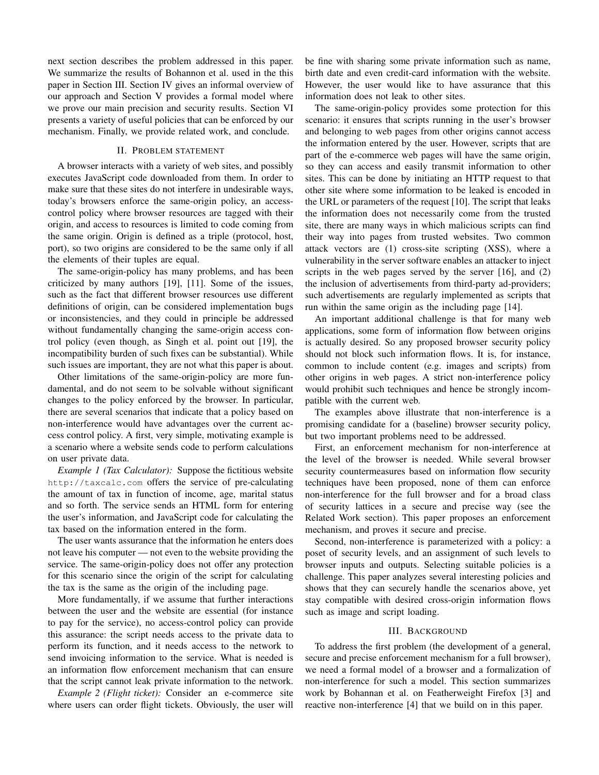next section describes the problem addressed in this paper. We summarize the results of Bohannon et al. used in the this paper in Section III. Section IV gives an informal overview of our approach and Section V provides a formal model where we prove our main precision and security results. Section VI presents a variety of useful policies that can be enforced by our mechanism. Finally, we provide related work, and conclude.

## II. PROBLEM STATEMENT

A browser interacts with a variety of web sites, and possibly executes JavaScript code downloaded from them. In order to make sure that these sites do not interfere in undesirable ways, today's browsers enforce the same-origin policy, an accesscontrol policy where browser resources are tagged with their origin, and access to resources is limited to code coming from the same origin. Origin is defined as a triple (protocol, host, port), so two origins are considered to be the same only if all the elements of their tuples are equal.

The same-origin-policy has many problems, and has been criticized by many authors [19], [11]. Some of the issues, such as the fact that different browser resources use different definitions of origin, can be considered implementation bugs or inconsistencies, and they could in principle be addressed without fundamentally changing the same-origin access control policy (even though, as Singh et al. point out [19], the incompatibility burden of such fixes can be substantial). While such issues are important, they are not what this paper is about.

Other limitations of the same-origin-policy are more fundamental, and do not seem to be solvable without significant changes to the policy enforced by the browser. In particular, there are several scenarios that indicate that a policy based on non-interference would have advantages over the current access control policy. A first, very simple, motivating example is a scenario where a website sends code to perform calculations on user private data.

*Example 1 (Tax Calculator):* Suppose the fictitious website http://taxcalc.com offers the service of pre-calculating the amount of tax in function of income, age, marital status and so forth. The service sends an HTML form for entering the user's information, and JavaScript code for calculating the tax based on the information entered in the form.

The user wants assurance that the information he enters does not leave his computer — not even to the website providing the service. The same-origin-policy does not offer any protection for this scenario since the origin of the script for calculating the tax is the same as the origin of the including page.

More fundamentally, if we assume that further interactions between the user and the website are essential (for instance to pay for the service), no access-control policy can provide this assurance: the script needs access to the private data to perform its function, and it needs access to the network to send invoicing information to the service. What is needed is an information flow enforcement mechanism that can ensure that the script cannot leak private information to the network.

*Example 2 (Flight ticket):* Consider an e-commerce site where users can order flight tickets. Obviously, the user will be fine with sharing some private information such as name, birth date and even credit-card information with the website. However, the user would like to have assurance that this information does not leak to other sites.

The same-origin-policy provides some protection for this scenario: it ensures that scripts running in the user's browser and belonging to web pages from other origins cannot access the information entered by the user. However, scripts that are part of the e-commerce web pages will have the same origin, so they can access and easily transmit information to other sites. This can be done by initiating an HTTP request to that other site where some information to be leaked is encoded in the URL or parameters of the request [10]. The script that leaks the information does not necessarily come from the trusted site, there are many ways in which malicious scripts can find their way into pages from trusted websites. Two common attack vectors are (1) cross-site scripting (XSS), where a vulnerability in the server software enables an attacker to inject scripts in the web pages served by the server [16], and (2) the inclusion of advertisements from third-party ad-providers; such advertisements are regularly implemented as scripts that run within the same origin as the including page [14].

An important additional challenge is that for many web applications, some form of information flow between origins is actually desired. So any proposed browser security policy should not block such information flows. It is, for instance, common to include content (e.g. images and scripts) from other origins in web pages. A strict non-interference policy would prohibit such techniques and hence be strongly incompatible with the current web.

The examples above illustrate that non-interference is a promising candidate for a (baseline) browser security policy, but two important problems need to be addressed.

First, an enforcement mechanism for non-interference at the level of the browser is needed. While several browser security countermeasures based on information flow security techniques have been proposed, none of them can enforce non-interference for the full browser and for a broad class of security lattices in a secure and precise way (see the Related Work section). This paper proposes an enforcement mechanism, and proves it secure and precise.

Second, non-interference is parameterized with a policy: a poset of security levels, and an assignment of such levels to browser inputs and outputs. Selecting suitable policies is a challenge. This paper analyzes several interesting policies and shows that they can securely handle the scenarios above, yet stay compatible with desired cross-origin information flows such as image and script loading.

## III. BACKGROUND

To address the first problem (the development of a general, secure and precise enforcement mechanism for a full browser), we need a formal model of a browser and a formalization of non-interference for such a model. This section summarizes work by Bohannan et al. on Featherweight Firefox [3] and reactive non-interference [4] that we build on in this paper.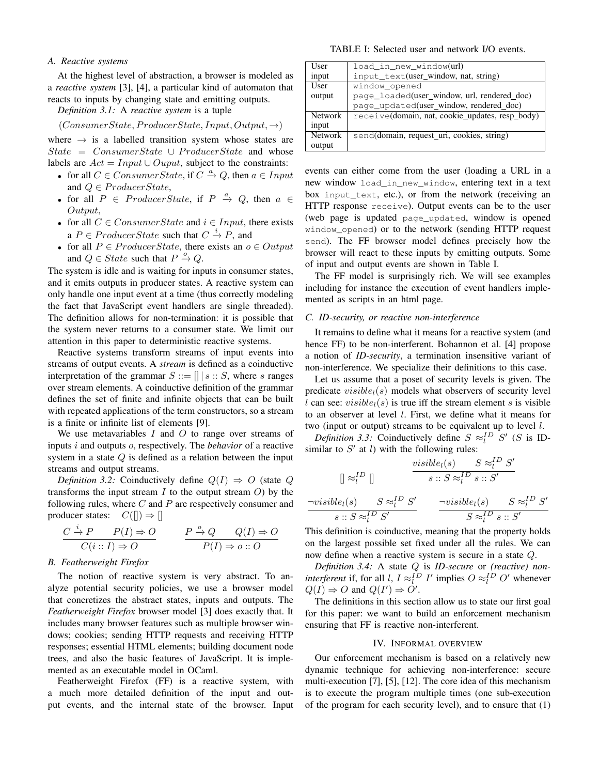## *A. Reactive systems*

At the highest level of abstraction, a browser is modeled as a *reactive system* [3], [4], a particular kind of automaton that reacts to inputs by changing state and emitting outputs.

*Definition 3.1:* A *reactive system* is a tuple

 $(ConsumerState, ProductState, Input, Output, \rightarrow)$ 

where  $\rightarrow$  is a labelled transition system whose states are  $State = ConsumerState \cup ProductState$  and whose labels are  $Act = Input \cup Output$ , subject to the constraints:

- for all  $C \in \text{ConsumerState}$ , if  $C \stackrel{a}{\rightarrow} Q$ , then  $a \in Input$ and  $Q \in ProductState$ ,
- for all  $P \in \text{ProductState}$ , if  $P \stackrel{a}{\rightarrow} Q$ , then  $a \in$ Output,
- for all  $C \in \mathit{ConsumerState}$  and  $i \in Input$ , there exists a  $P \in \text{ProductState}$  such that  $C \stackrel{i}{\rightarrow} P$ , and
- for all  $P \in \text{ProductState}$ , there exists an  $o \in \text{Output}$ and  $Q \in State$  such that  $P \stackrel{o}{\rightarrow} Q$ .

The system is idle and is waiting for inputs in consumer states, and it emits outputs in producer states. A reactive system can only handle one input event at a time (thus correctly modeling the fact that JavaScript event handlers are single threaded). The definition allows for non-termination: it is possible that the system never returns to a consumer state. We limit our attention in this paper to deterministic reactive systems.

Reactive systems transform streams of input events into streams of output events. A *stream* is defined as a coinductive interpretation of the grammar  $S ::= \{||s::S,$  where s ranges over stream elements. A coinductive definition of the grammar defines the set of finite and infinite objects that can be built with repeated applications of the term constructors, so a stream is a finite or infinite list of elements [9].

We use metavariables  $I$  and  $O$  to range over streams of inputs i and outputs o, respectively. The *behavior* of a reactive system in a state  $Q$  is defined as a relation between the input streams and output streams.

*Definition 3.2:* Coinductively define  $Q(I) \Rightarrow O$  (state Q) transforms the input stream  $I$  to the output stream  $O$ ) by the following rules, where  $C$  and  $P$  are respectively consumer and producer states:  $C(||) \Rightarrow$ 

$$
\frac{C \xrightarrow{i} P \qquad P(I) \Rightarrow O}{C(i:: I) \Rightarrow O} \qquad \frac{P \xrightarrow{o} Q \qquad Q(I) \Rightarrow O}{P(I) \Rightarrow o:: O}
$$

#### *B. Featherweight Firefox*

The notion of reactive system is very abstract. To analyze potential security policies, we use a browser model that concretizes the abstract states, inputs and outputs. The *Featherweight Firefox* browser model [3] does exactly that. It includes many browser features such as multiple browser windows; cookies; sending HTTP requests and receiving HTTP responses; essential HTML elements; building document node trees, and also the basic features of JavaScript. It is implemented as an executable model in OCaml.

Featherweight Firefox (FF) is a reactive system, with a much more detailed definition of the input and output events, and the internal state of the browser. Input

## TABLE I: Selected user and network I/O events.

| User           | load in new window(url)                         |
|----------------|-------------------------------------------------|
| input          | input_text(user_window, nat, string)            |
| User           | window opened                                   |
| output         | page_loaded(user_window, url, rendered_doc)     |
|                | page_updated(user_window, rendered_doc)         |
| <b>Network</b> | receive(domain, nat, cookie_updates, resp_body) |
| input          |                                                 |
| <b>Network</b> | send(domain, request_uri, cookies, string)      |
| output         |                                                 |

events can either come from the user (loading a URL in a new window load\_in\_new\_window, entering text in a text box input\_text, etc.), or from the network (receiving an HTTP response receive). Output events can be to the user (web page is updated page\_updated, window is opened window\_opened) or to the network (sending HTTP request send). The FF browser model defines precisely how the browser will react to these inputs by emitting outputs. Some of input and output events are shown in Table I.

The FF model is surprisingly rich. We will see examples including for instance the execution of event handlers implemented as scripts in an html page.

## *C. ID-security, or reactive non-interference*

It remains to define what it means for a reactive system (and hence FF) to be non-interferent. Bohannon et al. [4] propose a notion of *ID-security*, a termination insensitive variant of non-interference. We specialize their definitions to this case.

Let us assume that a poset of security levels is given. The predicate  $visible<sub>l</sub>(s)$  models what observers of security level l can see:  $visible<sub>l</sub>(s)$  is true iff the stream element s is visible to an observer at level l. First, we define what it means for two (input or output) streams to be equivalent up to level  $l$ .

*Definition 3.3:* Coinductively define  $S \approx_l^{ID} S'$  (S is IDsimilar to  $S'$  at l) with the following rules:

$$
\begin{array}{ccc}\n & \text{visible}_l(s) & S \approx_l^{ID} S' \\
\Box \approx_l^{ID} \Box & s :: S \approx_l^{ID} s :: S'\n\end{array}
$$
\n
$$
\begin{array}{ccc}\n\text{visible}_l(s) & S \approx_l^{ID} S' \\
\hline\n s :: S \approx_l^{ID} S' & \text{visible}_l(s) & S \approx_l^{ID} S' \\
 & S \approx_l^{ID} s :: S'\n\end{array}
$$

This definition is coinductive, meaning that the property holds on the largest possible set fixed under all the rules. We can now define when a reactive system is secure in a state Q.

*Definition 3.4:* A state Q is *ID-secure* or *(reactive) noninterferent* if, for all l,  $I \approx_l^{ID} I'$  implies  $O \approx_l^{ID} O'$  whenever  $Q(I) \Rightarrow O$  and  $Q(I') \Rightarrow O'$ .

The definitions in this section allow us to state our first goal for this paper: we want to build an enforcement mechanism ensuring that FF is reactive non-interferent.

#### IV. INFORMAL OVERVIEW

Our enforcement mechanism is based on a relatively new dynamic technique for achieving non-interference: secure multi-execution [7], [5], [12]. The core idea of this mechanism is to execute the program multiple times (one sub-execution of the program for each security level), and to ensure that (1)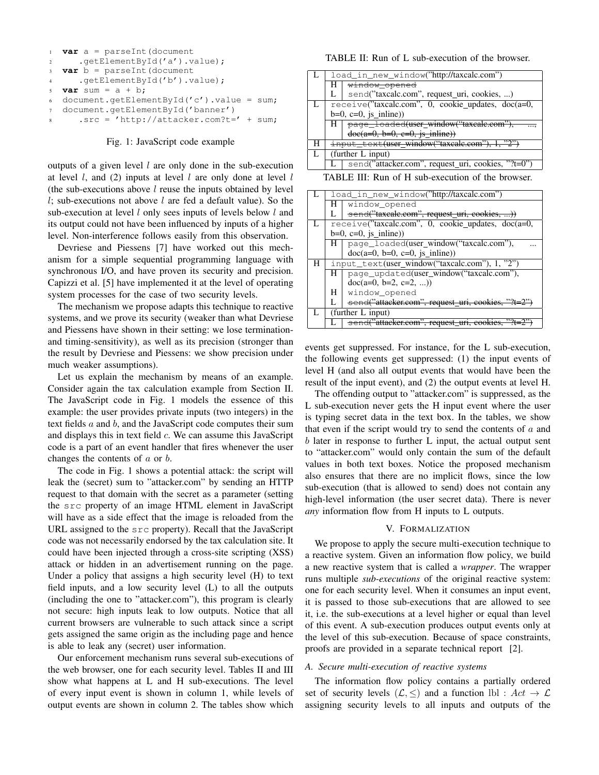```
1 var a = parseInt(document
2 .getElementById('a').value);
3 var b = parseInt(document
4 .getElementById('b').value);

6 document.getElementById('c').value = sum;
7 document.getElementById('banner')
8 .src = 'http://attacker.com?t=' + sum;
```
Fig. 1: JavaScript code example

outputs of a given level  $l$  are only done in the sub-execution at level  $l$ , and (2) inputs at level  $l$  are only done at level  $l$ (the sub-executions above  $l$  reuse the inputs obtained by level l; sub-executions not above l are fed a default value). So the sub-execution at level  $l$  only sees inputs of levels below  $l$  and its output could not have been influenced by inputs of a higher level. Non-interference follows easily from this observation.

Devriese and Piessens [7] have worked out this mechanism for a simple sequential programming language with synchronous I/O, and have proven its security and precision. Capizzi et al. [5] have implemented it at the level of operating system processes for the case of two security levels.

The mechanism we propose adapts this technique to reactive systems, and we prove its security (weaker than what Devriese and Piessens have shown in their setting: we lose terminationand timing-sensitivity), as well as its precision (stronger than the result by Devriese and Piessens: we show precision under much weaker assumptions).

Let us explain the mechanism by means of an example. Consider again the tax calculation example from Section II. The JavaScript code in Fig. 1 models the essence of this example: the user provides private inputs (two integers) in the text fields  $a$  and  $b$ , and the JavaScript code computes their sum and displays this in text field c. We can assume this JavaScript code is a part of an event handler that fires whenever the user changes the contents of a or b.

The code in Fig. 1 shows a potential attack: the script will leak the (secret) sum to "attacker.com" by sending an HTTP request to that domain with the secret as a parameter (setting the src property of an image HTML element in JavaScript will have as a side effect that the image is reloaded from the URL assigned to the src property). Recall that the JavaScript code was not necessarily endorsed by the tax calculation site. It could have been injected through a cross-site scripting (XSS) attack or hidden in an advertisement running on the page. Under a policy that assigns a high security level (H) to text field inputs, and a low security level (L) to all the outputs (including the one to "attacker.com"), this program is clearly not secure: high inputs leak to low outputs. Notice that all current browsers are vulnerable to such attack since a script gets assigned the same origin as the including page and hence is able to leak any (secret) user information.

Our enforcement mechanism runs several sub-executions of the web browser, one for each security level. Tables II and III show what happens at L and H sub-executions. The level of every input event is shown in column 1, while levels of output events are shown in column 2. The tables show which

#### TABLE II: Run of L sub-execution of the browser.

|   | load_in_new_window("http://taxcalc.com")             |                                                    |  |  |
|---|------------------------------------------------------|----------------------------------------------------|--|--|
|   | H.                                                   | window opened                                      |  |  |
|   | L                                                    | send("taxcalc.com", request_uri, cookies, )        |  |  |
|   | $receive("taxcalc.com", 0, cookie updates, doc(a=0,$ |                                                    |  |  |
|   |                                                      | $b=0$ , $c=0$ , $js$ inline))                      |  |  |
|   |                                                      | H   page_loaded(user_window("taxcalc.com"),        |  |  |
|   |                                                      | $\frac{1}{\text{doc}(a=0, b=0, c=0, js_inline))}$  |  |  |
| Н | input_text(user_window("taxcalc.com"), 1, "2")       |                                                    |  |  |
|   | (further L input)                                    |                                                    |  |  |
|   |                                                      | send("attacker.com", request_uri, cookies, "?t=0") |  |  |
|   |                                                      |                                                    |  |  |

TABLE III: Run of H sub-execution of the browser.

|   | load_in_new_window("http://taxcalc.com") |                                                      |  |  |
|---|------------------------------------------|------------------------------------------------------|--|--|
|   | H                                        | window_opened                                        |  |  |
|   |                                          | send("taxcalc.com", request uri, cookies, ))         |  |  |
| L |                                          | $receive("taxcalc.com", 0, cookie updates, doc(a=0,$ |  |  |
|   |                                          | $b=0$ , $c=0$ , $js\_inline)$                        |  |  |
|   | H.                                       | page_loaded(user_window("taxcalc.com"),              |  |  |
|   |                                          | $doc(a=0, b=0, c=0, js_inline))$                     |  |  |
| Н |                                          | input_text(user_window("taxcalc.com"), 1, "2")       |  |  |
|   | н                                        | page_updated(user_window("taxcalc.com"),             |  |  |
|   |                                          | $doc(a=0, b=2, c=2, )$                               |  |  |
|   | ΗI                                       | window_opened                                        |  |  |
|   |                                          | send("attacker.com", request_uri, cookies, "?t=2")   |  |  |
| L |                                          | (further L input)                                    |  |  |
|   |                                          | send("attacker.com", request_uri, cookies, "?t=2")   |  |  |

events get suppressed. For instance, for the L sub-execution, the following events get suppressed: (1) the input events of level H (and also all output events that would have been the result of the input event), and (2) the output events at level H.

The offending output to "attacker.com" is suppressed, as the L sub-execution never gets the H input event where the user is typing secret data in the text box. In the tables, we show that even if the script would try to send the contents of  $a$  and b later in response to further L input, the actual output sent to "attacker.com" would only contain the sum of the default values in both text boxes. Notice the proposed mechanism also ensures that there are no implicit flows, since the low sub-execution (that is allowed to send) does not contain any high-level information (the user secret data). There is never *any* information flow from H inputs to L outputs.

#### V. FORMALIZATION

We propose to apply the secure multi-execution technique to a reactive system. Given an information flow policy, we build a new reactive system that is called a *wrapper*. The wrapper runs multiple *sub-executions* of the original reactive system: one for each security level. When it consumes an input event, it is passed to those sub-executions that are allowed to see it, i.e. the sub-executions at a level higher or equal than level of this event. A sub-execution produces output events only at the level of this sub-execution. Because of space constraints, proofs are provided in a separate technical report [2].

## *A. Secure multi-execution of reactive systems*

The information flow policy contains a partially ordered set of security levels  $(\mathcal{L}, \leq)$  and a function lbl :  $Act \rightarrow \mathcal{L}$ assigning security levels to all inputs and outputs of the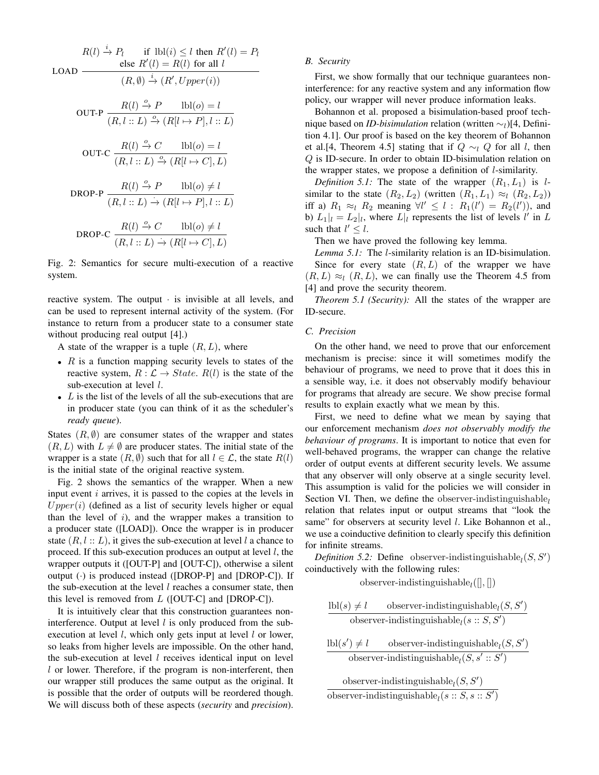$$
R(l) \stackrel{i}{\rightarrow} P_l \quad \text{if } \text{lb}(i) \le l \text{ then } R'(l) = P_l
$$
\n
$$
\text{LOAD} \quad \xrightarrow{\text{else } R'(l) = R(l) \text{ for all } l}
$$
\n
$$
(R, \emptyset) \stackrel{i}{\rightarrow} (R', Upper(i))
$$
\n
$$
\text{OUT-P} \quad \xrightarrow{R(l) \stackrel{o}{\rightarrow} P} \text{lb}(o) = l
$$
\n
$$
\text{OUT-C} \quad \xrightarrow{R(l) \stackrel{o}{\rightarrow} C} \text{lb}(o) = l
$$
\n
$$
\text{OUT-C} \quad \xrightarrow{(R, l :: L) \stackrel{o}{\rightarrow} (R[l \mapsto C], L)}
$$
\n
$$
\text{DROP-P} \quad \xrightarrow{R(l) \stackrel{o}{\rightarrow} P} \text{lb}(o) \ne l
$$
\n
$$
\text{DROP-P} \quad \xrightarrow{(R, l :: L) \stackrel{\rightarrow}{\rightarrow} (R[l \mapsto P], l :: L)}
$$
\n
$$
\text{DROP-C} \quad \xrightarrow{R(l) \stackrel{o}{\rightarrow} C} \text{lb}(o) \ne l
$$
\n
$$
\xrightarrow{(R, l :: L) \stackrel{\rightarrow}{\rightarrow} (R[l \mapsto C], L)}
$$

Fig. 2: Semantics for secure multi-execution of a reactive system.

reactive system. The output  $\cdot$  is invisible at all levels, and can be used to represent internal activity of the system. (For instance to return from a producer state to a consumer state without producing real output [4].)

A state of the wrapper is a tuple  $(R, L)$ , where

- $R$  is a function mapping security levels to states of the reactive system,  $R : \mathcal{L} \to State$ .  $R(l)$  is the state of the sub-execution at level *l*.
- $L$  is the list of the levels of all the sub-executions that are in producer state (you can think of it as the scheduler's *ready queue*).

States  $(R, \emptyset)$  are consumer states of the wrapper and states  $(R, L)$  with  $L \neq \emptyset$  are producer states. The initial state of the wrapper is a state  $(R, \emptyset)$  such that for all  $l \in \mathcal{L}$ , the state  $R(l)$ is the initial state of the original reactive system.

Fig. 2 shows the semantics of the wrapper. When a new input event  $i$  arrives, it is passed to the copies at the levels in  $Upper(i)$  (defined as a list of security levels higher or equal than the level of  $i$ ), and the wrapper makes a transition to a producer state ([LOAD]). Once the wrapper is in producer state  $(R, l :: L)$ , it gives the sub-execution at level l a chance to proceed. If this sub-execution produces an output at level  $l$ , the wrapper outputs it ([OUT-P] and [OUT-C]), otherwise a silent output  $(\cdot)$  is produced instead ([DROP-P] and [DROP-C]). If the sub-execution at the level  $l$  reaches a consumer state, then this level is removed from  $L$  ([OUT-C] and [DROP-C]).

It is intuitively clear that this construction guarantees noninterference. Output at level  $l$  is only produced from the subexecution at level  $l$ , which only gets input at level  $l$  or lower, so leaks from higher levels are impossible. On the other hand, the sub-execution at level  $l$  receives identical input on level  $l$  or lower. Therefore, if the program is non-interferent, then our wrapper still produces the same output as the original. It is possible that the order of outputs will be reordered though. We will discuss both of these aspects (*security* and *precision*).

#### *B. Security*

First, we show formally that our technique guarantees noninterference: for any reactive system and any information flow policy, our wrapper will never produce information leaks.

Bohannon et al. proposed a bisimulation-based proof technique based on *ID-bisimulation* relation (written ∼l)[4, Definition 4.1]. Our proof is based on the key theorem of Bohannon et al.[4, Theorem 4.5] stating that if  $Q \sim_l Q$  for all l, then Q is ID-secure. In order to obtain ID-bisimulation relation on the wrapper states, we propose a definition of  $l$ -similarity.

*Definition 5.1:* The state of the wrapper  $(R_1, L_1)$  is lsimilar to the state  $(R_2, L_2)$  (written  $(R_1, L_1) \approx_l (R_2, L_2)$ ) iff a)  $R_1 \approx_l R_2$  meaning  $\forall l' \leq l : R_1(l') = R_2(l')$ , and b)  $L_1|_l = L_2|_l$ , where  $L|_l$  represents the list of levels  $l'$  in  $L$ such that  $l' \leq l$ .

Then we have proved the following key lemma.

*Lemma 5.1:* The l-similarity relation is an ID-bisimulation. Since for every state  $(R, L)$  of the wrapper we have  $(R, L) \approx_l (R, L)$ , we can finally use the Theorem 4.5 from [4] and prove the security theorem.

*Theorem 5.1 (Security):* All the states of the wrapper are ID-secure.

#### *C. Precision*

On the other hand, we need to prove that our enforcement mechanism is precise: since it will sometimes modify the behaviour of programs, we need to prove that it does this in a sensible way, i.e. it does not observably modify behaviour for programs that already are secure. We show precise formal results to explain exactly what we mean by this.

First, we need to define what we mean by saying that our enforcement mechanism *does not observably modify the behaviour of programs*. It is important to notice that even for well-behaved programs, the wrapper can change the relative order of output events at different security levels. We assume that any observer will only observe at a single security level. This assumption is valid for the policies we will consider in Section VI. Then, we define the observer-indistinguishable relation that relates input or output streams that "look the same" for observers at security level *l*. Like Bohannon et al., we use a coinductive definition to clearly specify this definition for infinite streams.

*Definition 5.2:* Define observer-indistinguishable<sub>l</sub> $(S, S')$ coinductively with the following rules:

observer-indistinguishable<sub>l</sub> $([], [])$ 

$$
\frac{\text{lb}(s) \neq l \qquad \text{observer-indistinguishable}_l(S, S')}{\text{observer-indistinguishable}_l(s::S, S')}
$$

 $\text{lbl}(s')$  $) \neq l$  observer-indistinguishable<sub>l</sub> $(S, S')$ 

observer-indistinguishable<sub>l</sub> $(S, s' :: S')$ 

observer-indistinguishable<sub>l</sub> $(S, S')$  $\overline{\text{observer-indistinguishable}}_l(s::S, s::S')$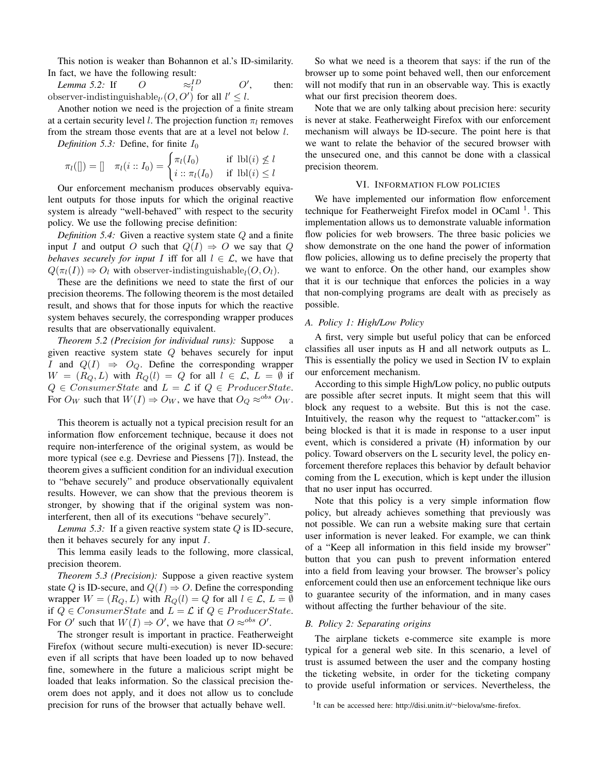This notion is weaker than Bohannon et al.'s ID-similarity. In fact, we have the following result:

 $Lemma 5.2: If  $O$$  $\approx_l^{ID}$  0', , then: observer-indistinguishable<sub>l</sub> $(Q, O')$  for all  $l' \leq l$ .

Another notion we need is the projection of a finite stream at a certain security level l. The projection function  $\pi_l$  removes from the stream those events that are at a level not below l.

*Definition 5.3:* Define, for finite  $I_0$ 

$$
\pi_l([\mathbf{r}]) = [\mathbf{r}_l(i::I_0)] = \begin{cases} \pi_l(I_0) & \text{if } \mathrm{lbl}(i) \not\leq l \\ i::\pi_l(I_0) & \text{if } \mathrm{lbl}(i) \leq l \end{cases}
$$

Our enforcement mechanism produces observably equivalent outputs for those inputs for which the original reactive system is already "well-behaved" with respect to the security policy. We use the following precise definition:

*Definition 5.4:* Given a reactive system state Q and a finite input I and output O such that  $Q(I) \Rightarrow O$  we say that Q *behaves securely for input* I iff for all  $l \in \mathcal{L}$ , we have that  $Q(\pi_l(I)) \Rightarrow O_l$  with observer-indistinguishable<sub>l</sub> $(O, O_l)$ .

These are the definitions we need to state the first of our precision theorems. The following theorem is the most detailed result, and shows that for those inputs for which the reactive system behaves securely, the corresponding wrapper produces results that are observationally equivalent.

*Theorem 5.2 (Precision for individual runs):* Suppose a given reactive system state Q behaves securely for input I and  $Q(I) \Rightarrow O_Q$ . Define the corresponding wrapper  $W = (R_Q, L)$  with  $R_Q(l) = Q$  for all  $l \in \mathcal{L}$ ,  $L = \emptyset$  if  $Q \in \mathit{ConsumerState}$  and  $L = \mathcal{L}$  if  $Q \in \mathit{ProductState}$ . For  $O_W$  such that  $W(I) \Rightarrow O_W$ , we have that  $O_Q \approx^{obs} O_W$ .

This theorem is actually not a typical precision result for an information flow enforcement technique, because it does not require non-interference of the original system, as would be more typical (see e.g. Devriese and Piessens [7]). Instead, the theorem gives a sufficient condition for an individual execution to "behave securely" and produce observationally equivalent results. However, we can show that the previous theorem is stronger, by showing that if the original system was noninterferent, then all of its executions "behave securely".

*Lemma 5.3:* If a given reactive system state Q is ID-secure, then it behaves securely for any input I.

This lemma easily leads to the following, more classical, precision theorem.

*Theorem 5.3 (Precision):* Suppose a given reactive system state Q is ID-secure, and  $Q(I) \Rightarrow O$ . Define the corresponding wrapper  $W = (R_Q, L)$  with  $R_Q(l) = Q$  for all  $l \in \mathcal{L}, L = \emptyset$ if  $Q \in \mathit{ConsumerState}$  and  $L = \mathcal{L}$  if  $Q \in \mathit{ProductState}$ . For O' such that  $W(I) \Rightarrow O'$ , we have that  $O \approx^{obs} O'$ .

The stronger result is important in practice. Featherweight Firefox (without secure multi-execution) is never ID-secure: even if all scripts that have been loaded up to now behaved fine, somewhere in the future a malicious script might be loaded that leaks information. So the classical precision theorem does not apply, and it does not allow us to conclude precision for runs of the browser that actually behave well.

So what we need is a theorem that says: if the run of the browser up to some point behaved well, then our enforcement will not modify that run in an observable way. This is exactly what our first precision theorem does.

Note that we are only talking about precision here: security is never at stake. Featherweight Firefox with our enforcement mechanism will always be ID-secure. The point here is that we want to relate the behavior of the secured browser with the unsecured one, and this cannot be done with a classical precision theorem.

#### VI. INFORMATION FLOW POLICIES

We have implemented our information flow enforcement technique for Featherweight Firefox model in OCaml<sup>1</sup>. This implementation allows us to demonstrate valuable information flow policies for web browsers. The three basic policies we show demonstrate on the one hand the power of information flow policies, allowing us to define precisely the property that we want to enforce. On the other hand, our examples show that it is our technique that enforces the policies in a way that non-complying programs are dealt with as precisely as possible.

## *A. Policy 1: High/Low Policy*

A first, very simple but useful policy that can be enforced classifies all user inputs as H and all network outputs as L. This is essentially the policy we used in Section IV to explain our enforcement mechanism.

According to this simple High/Low policy, no public outputs are possible after secret inputs. It might seem that this will block any request to a website. But this is not the case. Intuitively, the reason why the request to "attacker.com" is being blocked is that it is made in response to a user input event, which is considered a private (H) information by our policy. Toward observers on the L security level, the policy enforcement therefore replaces this behavior by default behavior coming from the L execution, which is kept under the illusion that no user input has occurred.

Note that this policy is a very simple information flow policy, but already achieves something that previously was not possible. We can run a website making sure that certain user information is never leaked. For example, we can think of a "Keep all information in this field inside my browser" button that you can push to prevent information entered into a field from leaving your browser. The browser's policy enforcement could then use an enforcement technique like ours to guarantee security of the information, and in many cases without affecting the further behaviour of the site.

#### *B. Policy 2: Separating origins*

The airplane tickets e-commerce site example is more typical for a general web site. In this scenario, a level of trust is assumed between the user and the company hosting the ticketing website, in order for the ticketing company to provide useful information or services. Nevertheless, the

<sup>1</sup> It can be accessed here: http://disi.unitn.it/∼bielova/sme-firefox.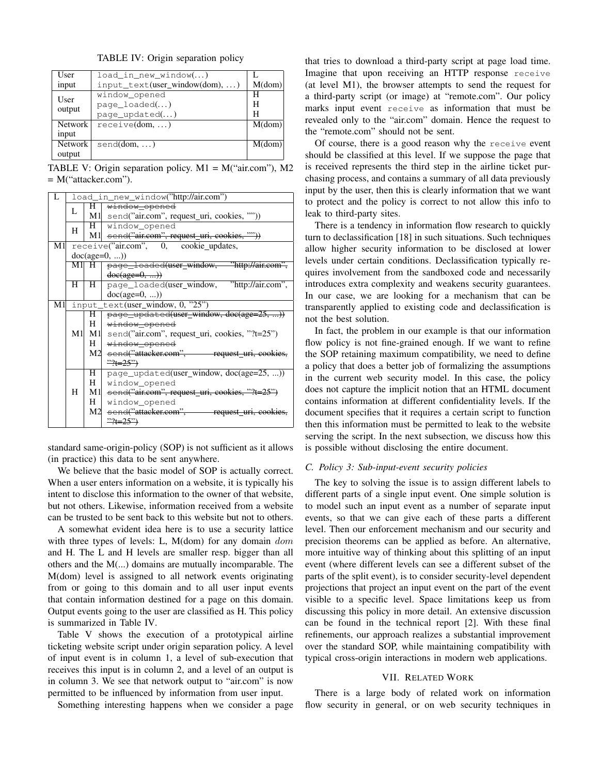TABLE IV: Origin separation policy

| User    | $load$ in new window $()$      |        |
|---------|--------------------------------|--------|
| input   | input_text(user_window(dom), ) | M(dom) |
| User    | window_opened                  | H      |
|         | page_loaded()                  | H      |
| output  | $page\_update(d)$              | н      |
| Network | receive(dom, )                 | M(dom) |
| input   |                                |        |
| Network | $send(dom, \ldots)$            | M(dom) |
| output  |                                |        |

TABLE V: Origin separation policy.  $M1 = M("air.com")$ , M2 = M("attacker.com").

| L  | load_in_new_window("http://air.com") |                                                                   |                                                   |  |  |
|----|--------------------------------------|-------------------------------------------------------------------|---------------------------------------------------|--|--|
|    | L                                    | H                                                                 | window_opened                                     |  |  |
|    |                                      |                                                                   | M1 send("air.com", request_uri, cookies, ""))     |  |  |
|    | H                                    |                                                                   | H   window_opened                                 |  |  |
|    |                                      |                                                                   | M1 send("air.com", request_uri, cookies, ""))     |  |  |
| M1 |                                      | $receiving("air.com", \overline{0}, \overline{0}$ cookie_updates, |                                                   |  |  |
|    |                                      | $doc(age=0, )$                                                    |                                                   |  |  |
|    |                                      | $M1$ H                                                            | page_loaded(user_window, "http://air.com",        |  |  |
|    |                                      |                                                                   | $\text{doc}(\text{age=0}, \ldots)$                |  |  |
|    | H                                    | $H^-$                                                             | page_loaded(user_window, "http://air.com",        |  |  |
|    |                                      |                                                                   | $doc(age=0, )$                                    |  |  |
| M1 | input_text(user_window, 0, "25")     |                                                                   |                                                   |  |  |
|    |                                      | HΙ                                                                | $page$ updated(user window, doc(age= $25$ , ))    |  |  |
|    |                                      | HΙ                                                                | window_opened                                     |  |  |
|    | M1                                   |                                                                   | M1 send("air.com", request_uri, cookies, "?t=25") |  |  |
|    |                                      | H <sub>1</sub>                                                    | window_opened                                     |  |  |
|    |                                      |                                                                   | M2 send("attacker.com", request_uri, cookies,     |  |  |
|    |                                      |                                                                   | $\rightarrow 25$                                  |  |  |
|    |                                      | H <sub>1</sub>                                                    | page_updated(user_window, doc(age=25, ))          |  |  |
|    |                                      | H <sub>1</sub>                                                    | window_opened                                     |  |  |
|    | Н                                    | M1                                                                | send("air.com", request_uri, cookies, "?t=25")    |  |  |
|    |                                      | H.                                                                | window_opened                                     |  |  |
|    |                                      | M2                                                                | send("attacker.com", request uri, cookies,        |  |  |
|    |                                      |                                                                   | $\rightarrow 25$                                  |  |  |

standard same-origin-policy (SOP) is not sufficient as it allows (in practice) this data to be sent anywhere.

We believe that the basic model of SOP is actually correct. When a user enters information on a website, it is typically his intent to disclose this information to the owner of that website, but not others. Likewise, information received from a website can be trusted to be sent back to this website but not to others.

A somewhat evident idea here is to use a security lattice with three types of levels: L,  $M(dom)$  for any domain  $dom$ and H. The L and H levels are smaller resp. bigger than all others and the M(...) domains are mutually incomparable. The M(dom) level is assigned to all network events originating from or going to this domain and to all user input events that contain information destined for a page on this domain. Output events going to the user are classified as H. This policy is summarized in Table IV.

Table V shows the execution of a prototypical airline ticketing website script under origin separation policy. A level of input event is in column 1, a level of sub-execution that receives this input is in column 2, and a level of an output is in column 3. We see that network output to "air.com" is now permitted to be influenced by information from user input.

Something interesting happens when we consider a page

that tries to download a third-party script at page load time. Imagine that upon receiving an HTTP response receive (at level M1), the browser attempts to send the request for a third-party script (or image) at "remote.com". Our policy marks input event receive as information that must be revealed only to the "air.com" domain. Hence the request to the "remote.com" should not be sent.

Of course, there is a good reason why the receive event should be classified at this level. If we suppose the page that is received represents the third step in the airline ticket purchasing process, and contains a summary of all data previously input by the user, then this is clearly information that we want to protect and the policy is correct to not allow this info to leak to third-party sites.

There is a tendency in information flow research to quickly turn to declassification [18] in such situations. Such techniques allow higher security information to be disclosed at lower levels under certain conditions. Declassification typically requires involvement from the sandboxed code and necessarily introduces extra complexity and weakens security guarantees. In our case, we are looking for a mechanism that can be transparently applied to existing code and declassification is not the best solution.

In fact, the problem in our example is that our information flow policy is not fine-grained enough. If we want to refine the SOP retaining maximum compatibility, we need to define a policy that does a better job of formalizing the assumptions in the current web security model. In this case, the policy does not capture the implicit notion that an HTML document contains information at different confidentiality levels. If the document specifies that it requires a certain script to function then this information must be permitted to leak to the website serving the script. In the next subsection, we discuss how this is possible without disclosing the entire document.

# *C. Policy 3: Sub-input-event security policies*

The key to solving the issue is to assign different labels to different parts of a single input event. One simple solution is to model such an input event as a number of separate input events, so that we can give each of these parts a different level. Then our enforcement mechanism and our security and precision theorems can be applied as before. An alternative, more intuitive way of thinking about this splitting of an input event (where different levels can see a different subset of the parts of the split event), is to consider security-level dependent projections that project an input event on the part of the event visible to a specific level. Space limitations keep us from discussing this policy in more detail. An extensive discussion can be found in the technical report [2]. With these final refinements, our approach realizes a substantial improvement over the standard SOP, while maintaining compatibility with typical cross-origin interactions in modern web applications.

## VII. RELATED WORK

There is a large body of related work on information flow security in general, or on web security techniques in